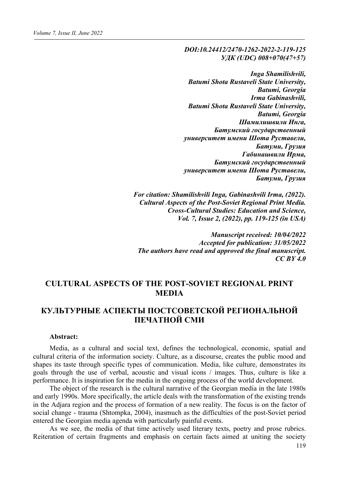*DOI:10.24412/2470-1262-2022-2-119-125 УДК (UDC) 008+070(47+57)*

*Inga Shamilishvili, Batumi Shota Rustaveli State University, Batumi, Georgia Irma Gabinashvili, Batumi Shota Rustaveli State University, Batumi, Georgia Шамилишвили Инга, Батумский государственный университет имени Шота Руставели, Батуми, Грузия Габинашвили Ирма, Батумский государственный университет имени Шота Руставели, Батуми, Грузия*

*For citation: Shamilishvili Inga, Gabinashvili Irma, (2022). Cultural Aspects of the Post-Soviet Regional Print Media. Cross-Cultural Studies: Education and Science, Vol. 7, Issue 2, (2022), pp. 119-125 (in USA)*

*Manuscript received: 10/04/2022 Accepted for publication: 31/05/2022 The authors have read and approved the final manuscript. CC BY 4.0*

# **CULTURAL ASPECTS OF THE POST-SOVIET REGIONAL PRINT MEDIA**

# **КУЛЬТУРНЫЕ АСПЕКТЫ ПОСТСОВЕТСКOЙ РЕГИОНАЛЬНOЙ ПЕЧАТНОЙ СМИ**

#### **Abstract:**

Media, as a cultural and social text, defines the technological, economic, spatial and cultural criteria of the information society. Culture, as a discourse, creates the public mood and shapes its taste through specific types of communication. Media, like culture, demonstrates its goals through the use of verbal, acoustic and visual icons / images. Thus, culture is like a performance. It is inspiration for the media in the ongoing process of the world development.

The object of the research is the cultural narrative of the Georgian media in the late 1980s and early 1990s. More specifically, the article deals with the transformation of the existing trends in the Adjara region and the process of formation of a new reality. The focus is on the factor of social change - trauma (Shtompka, 2004), inasmuch as the difficulties of the post-Soviet period entered the Georgian media agenda with particularly painful events.

As we see, the media of that time actively used literary texts, poetry and prose rubrics. Reiteration of certain fragments and emphasis on certain facts aimed at uniting the society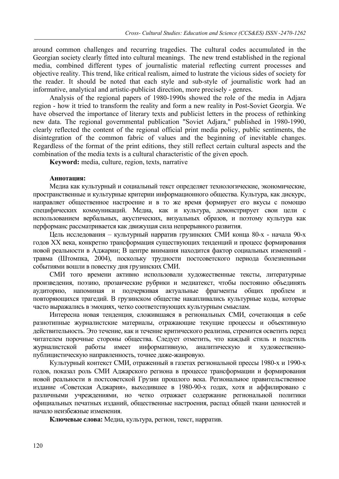around common challenges and recurring tragedies. The cultural codes accumulated in the Georgian society clearly fitted into cultural meanings. The new trend established in the regional media, combined different types of journalistic material reflecting current processes and objective reality. This trend, like critical realism, aimed to lustrate the vicious sides of society for the reader. It should be noted that each style and sub-style of journalistic work had an informative, analytical and artistic-publicist direction, more precisely - genres.

Analysis of the regional papers of 1980-1990s showed the role of the media in Adjara region - how it tried to transform the reality and form a new reality in Post-Soviet Georgia. We have observed the importance of literary texts and publicist letters in the process of rethinking new data. The regional governmental publication "Soviet Adjara," published in 1980-1990, clearly reflected the content of the regional official print media policy, public sentiments, the disintegration of the common fabric of values and the beginning of inevitable changes. Regardless of the format of the print editions, they still reflect certain cultural aspects and the combination of the media texts is a cultural characteristic of the given epoch.

**Keyword:** media, culture, region, texts, narrative

### **Аннотация:**

Медиа как культурный и социальный текст определяет технологические, экономические, пространственные и культурные критерии информационного общества. Культура, как дискурс, направляет общественное настроение и в то же время формирует его вкусы с помощю специфических коммуникаций. Медиа, как и культура, демонстрирует свои цели с использованием вербальных, акустических, визуальных образов, и поэтому культура как перформанс рассматривается как движущая сила непрерывного развития.

Цель исследования – культурный нарратив грузинских СМИ конца 80-х - начала 90-х годов ХХ века, конкретно трансформация существующих тенденций и процесс формирования новой реальности в Аджарии; В центре внимания находится фактор социальных изменений травма (Штомпка, 2004), поскольку трудности постсоветского периода болезненными событиями вошли в повестку дня грузинских СМИ.

СМИ того времени активно использовали художественные тексты, литературные произведения, поэзию, прозаические рубрики и медиатекст, чтобы постоянно объединять аудиторию, напоминая и подчеркивая актуальные фрагменты общих проблем и повторяющихся трагедий. В грузинском обществе накапливались культурные коды, которые часто выражались в эмоциях, четко соответствующих культурным смыслам.

Интересна новая тенденция, сложившаяся в региональных СМИ, сочетающая в себе разнотипные журналистские материалы, отражающие текущие процессы и объективную действительность. Это течение, как и течение критического реализма, стремится осветить перед читателем порочные стороны общества. Следует отметить, что каждый стиль и подстиль журналистской работы имеет информативную, аналитическую и художественнопублицистическую направленность, точнее даже-жанровую.

Культурный контекст СМИ, отраженный в газетах региональной прессы 1980-х и 1990-х годов, показал роль СМИ Аджарского региона в процессе трансформации и формирования новой реальности в постсоветской Грузии прошлого века. Региональное правительственное издание «Советская Аджария», выходившее в 1980-90-х годах, хотя и аффилировано с различными учреждениями, но четко отражает содержание региональной политики официальных печатных изданий, общественные настроения, распад общей ткани ценностей и начало неизбежные изменения.

**Ключевые слова:** Медиа, культура, регион, текст, нарратив.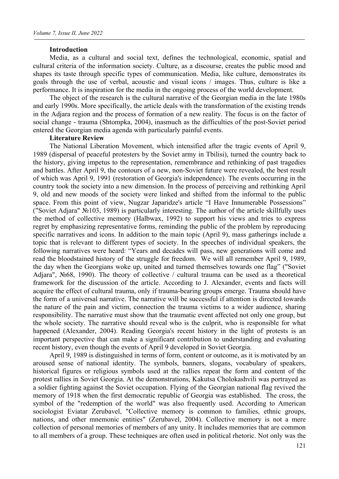#### **Introduction**

Media, as a cultural and social text, defines the technological, economic, spatial and cultural criteria of the information society. Culture, as a discourse, creates the public mood and shapes its taste through specific types of communication. Media, like culture, demonstrates its goals through the use of verbal, acoustic and visual icons / images. Thus, culture is like a performance. It is inspiration for the media in the ongoing process of the world development.

The object of the research is the cultural narrative of the Georgian media in the late 1980s and early 1990s. More specifically, the article deals with the transformation of the existing trends in the Adjara region and the process of formation of a new reality. The focus is on the factor of social change - trauma (Shtompka, 2004), inasmuch as the difficulties of the post-Soviet period entered the Georgian media agenda with particularly painful events.

### **Literature Review**

The National Liberation Movement, which intensified after the tragic events of April 9, 1989 (dispersal of peaceful protesters by the Soviet army in Tbilisi), turned the country back to the history, giving impetus to the representation, remembrance and rethinking of past tragedies and battles. After April 9, the contours of a new, non-Soviet future were revealed, the best result of which was April 9, 1991 (restoration of Georgia's independence). The events occurring in the country took the society into a new dimension. In the process of perceiving and rethinking April 9, old and new moods of the society were linked and shifted from the informal to the public space. From this point of view, Nugzar Japaridze's article "I Have Innumerable Possessions" ("Soviet Adjara" №103, 1989) is particularly interesting. The author of the article skillfully uses the method of collective memory (Halbwax, 1992) to support his views and tries to express regret by emphasizing representative forms, reminding the public of the problem by reproducing specific narratives and icons. In addition to the main topic (April 9), mass gatherings include a topic that is relevant to different types of society. In the speeches of individual speakers, the following narratives were heard: "Years and decades will pass, new generations will come and read the bloodstained history of the struggle for freedom. We will all remember April 9, 1989, the day when the Georgians woke up, united and turned themselves towards one flag" ("Soviet Adjara", №68, 1990). The theory of collective / cultural trauma can be used as a theoretical framework for the discussion of the article. According to J. Alexander, events and facts will acquire the effect of cultural trauma, only if trauma-bearing groups emerge. Trauma should have the form of a universal narrative. The narrative will be successful if attention is directed towards the nature of the pain and victim, connection the trauma victims to a wider audience, sharing responsibility. The narrative must show that the traumatic event affected not only one group, but the whole society. The narrative should reveal who is the culprit, who is responsible for what happened (Alexander, 2004). Reading Georgia's recent history in the light of protests is an important perspective that can make a significant contribution to understanding and evaluating recent history, even though the events of April 9 developed in Soviet Georgia.

April 9, 1989 is distinguished in terms of form, content or outcome, as it is motivated by an aroused sense of national identity. The symbols, banners, slogans, vocabulary of speakers, historical figures or religious symbols used at the rallies repeat the form and content of the protest rallies in Soviet Georgia. At the demonstrations, Kakutsa Cholokashvili was portrayed as a soldier fighting against the Soviet occupation. Flying of the Georgian national flag revived the memory of 1918 when the first democratic republic of Georgia was established. The cross, the symbol of the "redemption of the world" was also frequently used. According to American sociologist Eviatar Zerubavel, "Collective memory is common to families, ethnic groups, nations, and other mnemonic entities" (Zerubavel, 2004). Collective memory is not a mere collection of personal memories of members of any unity. It includes memories that are common to all members of a group. These techniques are often used in political rhetoric. Not only was the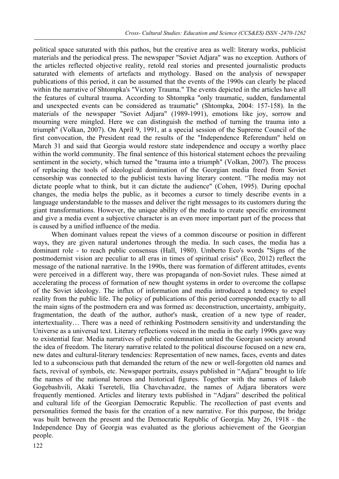political space saturated with this pathos, but the creative area as well: literary works, publicist materials and the periodical press. The newspaper "Soviet Adjara" was no exception. Authors of the articles reflected objective reality, retold real stories and presented journalistic products saturated with elements of artefacts and mythology. Based on the analysis of newspaper publications of this period, it can be assumed that the events of the 1990s can clearly be placed within the narrative of Shtompka's "Victory Trauma." The events depicted in the articles have all the features of cultural trauma. According to Shtompka "only traumatic, sudden, fundamental and unexpected events can be considered as traumatic" (Shtompka, 2004: 157-158). In the materials of the newspaper "Soviet Adjara" (1989-1991), emotions like joy, sorrow and mourning were mingled. Here we can distinguish the method of turning the trauma into a triumph" (Volkan, 2007). On April 9, 1991, at a special session of the Supreme Council of the first convocation, the President read the results of the "Independence Referendum" held on March 31 and said that Georgia would restore state independence and occupy a worthy place within the world community. The final sentence of this historical statement echoes the prevailing sentiment in the society, which turned the "trauma into a triumph" (Volkan, 2007). The process of replacing the tools of ideological domination of the Georgian media freed from Soviet censorship was connected to the publicist texts having literary content. "The media may not dictate people what to think, but it can dictate the audience" (Cohen, 1995). During epochal changes, the media helps the public, as it becomes a cursor to timely describe events in a language understandable to the masses and deliver the right messages to its customers during the giant transformations. However, the unique ability of the media to create specific environment and give a media event a subjective character is an even more important part of the process that is caused by a unified influence of the media.

When dominant values repeat the views of a common discourse or position in different ways, they are given natural undertones through the media. In such cases, the media has a dominant role - to reach public consensus (Hall, 1980). Umberto Eco's words "Signs of the postmodernist vision are peculiar to all eras in times of spiritual crisis" (Eco, 2012) reflect the message of the national narrative. In the 1990s, there was formation of different attitudes, events were perceived in a different way, there was propaganda of non-Soviet rules. These aimed at accelerating the process of formation of new thought systems in order to overcome the collapse of the Soviet ideology. The influx of information and media introduced a tendency to expel reality from the public life. The policy of publications of this period corresponded exactly to all the main signs of the postmodern era and was formed as: deconstruction, uncertainty, ambiguity, fragmentation, the death of the author, author's mask, creation of a new type of reader, intertextuality… There was a need of rethinking Postmodern sensitivity and understanding the Universe as a universal text. Literary reflections voiced in the media in the early 1990s gave way to existential fear. Media narratives of public condemnation united the Georgian society around the idea of freedom. The literary narrative related to the political discourse focused on a new era, new dates and cultural-literary tendencies: Representation of new names, faces, events and dates led to a subconscious path that demanded the return of the new or well-forgotten old names and facts, revival of symbols, etc. Newspaper portraits, essays published in "Adjara" brought to life the names of the national heroes and historical figures. Together with the names of Iakob Gogebashvili, Akaki Tsereteli, Ilia Chavchavadze, the names of Adjara liberators were frequently mentioned. Articles and literary texts published in "Adjara" described the political and cultural life of the Georgian Democratic Republic. The recollection of past events and personalities formed the basis for the creation of a new narrative. For this purpose, the bridge was built between the present and the Democratic Republic of Georgia. May 26, 1918 - the Independence Day of Georgia was evaluated as the glorious achievement of the Georgian people.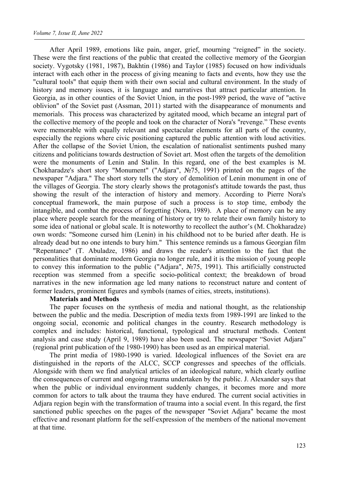After April 1989, emotions like pain, anger, grief, mourning "reigned" in the society. These were the first reactions of the public that created the collective memory of the Georgian society. Vygotsky (1981, 1987), Bakhtin (1986) and Taylor (1985) focused on how individuals interact with each other in the process of giving meaning to facts and events, how they use the "cultural tools" that equip them with their own social and cultural environment. In the study of history and memory issues, it is language and narratives that attract particular attention. In Georgia, as in other counties of the Soviet Union, in the post-1989 period, the wave of "active oblivion" of the Soviet past (Assman, 2011) started with the disappearance of monuments and memorials. This process was characterized by agitated mood, which became an integral part of the collective memory of the people and took on the character of Nora's "revenge." These events were memorable with equally relevant and spectacular elements for all parts of the country, especially the regions where civic positioning captured the public attention with loud activities. After the collapse of the Soviet Union, the escalation of nationalist sentiments pushed many citizens and politicians towards destruction of Soviet art. Most often the targets of the demolition were the monuments of Lenin and Stalin. In this regard, one of the best examples is M. Chokharadze's short story "Monument" ("Adjara", №75, 1991) printed on the pages of the newspaper "Adjara." The short story tells the story of demolition of Lenin monument in one of the villages of Georgia. The story clearly shows the protagonist's attitude towards the past, thus showing the result of the interaction of history and memory. According to Pierre Nora's conceptual framework, the main purpose of such a process is to stop time, embody the intangible, and combat the process of forgetting (Nora, 1989). A place of memory can be any place where people search for the meaning of history or try to relate their own family history to some idea of national or global scale. It is noteworthy to recollect the author's (M. Chokharadze) own words: "Someone cursed him (Lenin) in his childhood not to be buried after death. He is already dead but no one intends to bury him." This sentence reminds us a famous Georgian film "Repentance" (T. Abuladze, 1986) and draws the reader's attention to the fact that the personalities that dominate modern Georgia no longer rule, and it is the mission of young people to convey this information to the public ("Adjara", №75, 1991). This artificially constructed reception was stemmed from a specific socio-political context; the breakdown of broad narratives in the new information age led many nations to reconstruct nature and content of former leaders, prominent figures and symbols (names of cities, streets, institutions).

## **Materials and Methods**

The paper focuses on the synthesis of media and national thought, as the relationship between the public and the media. Description of media texts from 1989-1991 are linked to the ongoing social, economic and political changes in the country. Research methodology is complex and includes: historical, functional, typological and structural methods. Content analysis and case study (April 9, 1989) have also been used. The newspaper "Soviet Adjara" (regional print publication of the 1980-1990) has been used as an empirical material.

The print media of 1980-1990 is varied. Ideological influences of the Soviet era are distinguished in the reports of the ALCC, SCCP congresses and speeches of the officials. Alongside with them we find analytical articles of an ideological nature, which clearly outline the consequences of current and ongoing trauma undertaken by the public. J. Alexander says that when the public or individual environment suddenly changes, it becomes more and more common for actors to talk about the trauma they have endured. The current social activities in Adjara region begin with the transformation of trauma into a social event. In this regard, the first sanctioned public speeches on the pages of the newspaper "Soviet Adjara" became the most effective and resonant platform for the self-expression of the members of the national movement at that time.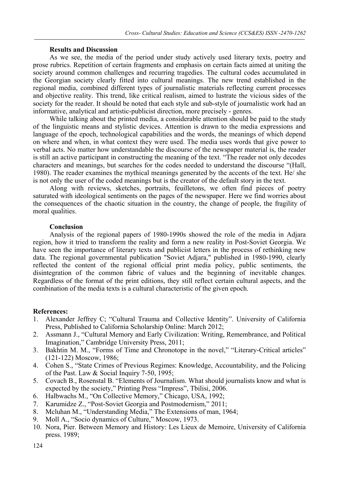#### **Results and Discussion**

As we see, the media of the period under study actively used literary texts, poetry and prose rubrics. Repetition of certain fragments and emphasis on certain facts aimed at uniting the society around common challenges and recurring tragedies. The cultural codes accumulated in the Georgian society clearly fitted into cultural meanings. The new trend established in the regional media, combined different types of journalistic materials reflecting current processes and objective reality. This trend, like critical realism, aimed to lustrate the vicious sides of the society for the reader. It should be noted that each style and sub-style of journalistic work had an informative, analytical and artistic-publicist direction, more precisely - genres.

While talking about the printed media, a considerable attention should be paid to the study of the linguistic means and stylistic devices. Attention is drawn to the media expressions and language of the epoch, technological capabilities and the words, the meanings of which depend on where and when, in what context they were used. The media uses words that give power to verbal acts. No matter how understandable the discourse of the newspaper material is, the reader is still an active participant in constructing the meaning of the text. "The reader not only decodes characters and meanings, but searches for the codes needed to understand the discourse "(Hall, 1980). The reader examines the mythical meanings generated by the accents of the text. He/ she is not only the user of the coded meanings but is the creator of the default story in the text.

Along with reviews, sketches, portraits, feuilletons, we often find pieces of poetry saturated with ideological sentiments on the pages of the newspaper. Here we find worries about the consequences of the chaotic situation in the country, the change of people, the fragility of moral qualities.

## **Conclusion**

Analysis of the regional papers of 1980-1990s showed the role of the media in Adjara region, how it tried to transform the reality and form a new reality in Post-Soviet Georgia. We have seen the importance of literary texts and publicist letters in the process of rethinking new data. The regional governmental publication "Soviet Adjara," published in 1980-1990, clearly reflected the content of the regional official print media policy, public sentiments, the disintegration of the common fabric of values and the beginning of inevitable changes. Regardless of the format of the print editions, they still reflect certain cultural aspects, and the combination of the media texts is a cultural characteristic of the given epoch.

#### **References:**

- 1. Alexander Jeffrey C; "Cultural Trauma and Collective Identity". University of California Press, Published to California Scholarship Online: March 2012;
- 2. Assmann J., "Cultural Memory and Early Civilization: Writing, Remembrance, and Political Imagination," Cambridge University Press, 2011;
- 3. Bakhtin M. M., "Forms of Time and Chronotope in the novel," "Literary-Critical articles" (121-122) Moscow, 1986;
- 4. Cohen S., "State Crimes of Previous Regimes: Knowledge, Accountability, and the Policing of the Past. Law & Social Inquiry 7-50, 1995;
- 5. Covach B., Rosenstal B. "Elements of Journalism. What should journalists know and what is expected by the society," Printing Press "Impress", Tbilisi, 2006.
- 6. Halbwachs M., "On Collective Memory," Chicago, USA, 1992;
- 7. Karumidze Z., "Post-Soviet Georgia and Postmodernism," 2011;<br>8. Mcluhan M., "Understanding Media," The Extensions of man. 19
- Mcluhan M., "Understanding Media," The Extensions of man, 1964;
- 9. Moll A., "Socio dynamics of Culture," Moscow, 1973.
- 10. Nora, Pier. Between Memory and History: Les Lieux de Memoire, University of California press. 1989;